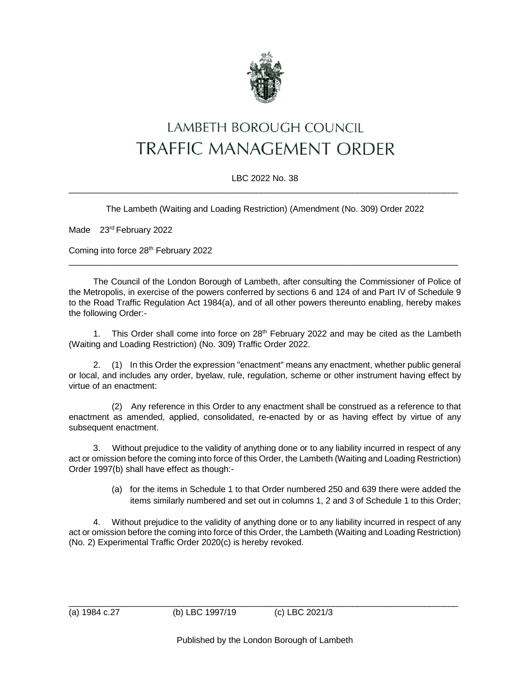

## LAMBETH BOROUGH COUNCIL **TRAFFIC MANAGEMENT ORDER**

## LBC 2022 No. 38  $\_$  , and the set of the set of the set of the set of the set of the set of the set of the set of the set of the set of the set of the set of the set of the set of the set of the set of the set of the set of the set of th

The Lambeth (Waiting and Loading Restriction) (Amendment (No. 309) Order 2022

Made 23<sup>rd</sup> February 2022

Coming into force 28<sup>th</sup> February 2022

The Council of the London Borough of Lambeth, after consulting the Commissioner of Police of the Metropolis, in exercise of the powers conferred by sections 6 and 124 of and Part IV of Schedule 9 to the Road Traffic Regulation Act 1984(a), and of all other powers thereunto enabling, hereby makes the following Order:-

 $\_$  , and the set of the set of the set of the set of the set of the set of the set of the set of the set of the set of the set of the set of the set of the set of the set of the set of the set of the set of the set of th

1. This Order shall come into force on  $28<sup>th</sup>$  February 2022 and may be cited as the Lambeth (Waiting and Loading Restriction) (No. 309) Traffic Order 2022.

2. (1) In this Order the expression "enactment" means any enactment, whether public general or local, and includes any order, byelaw, rule, regulation, scheme or other instrument having effect by virtue of an enactment:

(2) Any reference in this Order to any enactment shall be construed as a reference to that enactment as amended, applied, consolidated, re-enacted by or as having effect by virtue of any subsequent enactment.

3. Without prejudice to the validity of anything done or to any liability incurred in respect of any act or omission before the coming into force of this Order, the Lambeth (Waiting and Loading Restriction) Order 1997(b) shall have effect as though:-

> (a) for the items in Schedule 1 to that Order numbered 250 and 639 there were added the items similarly numbered and set out in columns 1, 2 and 3 of Schedule 1 to this Order;

4. Without prejudice to the validity of anything done or to any liability incurred in respect of any act or omission before the coming into force of this Order, the Lambeth (Waiting and Loading Restriction) (No. 2) Experimental Traffic Order 2020(c) is hereby revoked.

\_\_\_\_\_\_\_\_\_\_\_\_\_\_\_\_\_\_\_\_\_\_\_\_\_\_\_\_\_\_\_\_\_\_\_\_\_\_\_\_\_\_\_\_\_\_\_\_\_\_\_\_\_\_\_\_\_\_\_\_\_\_\_\_\_\_\_\_\_\_\_\_\_\_\_\_\_\_\_\_\_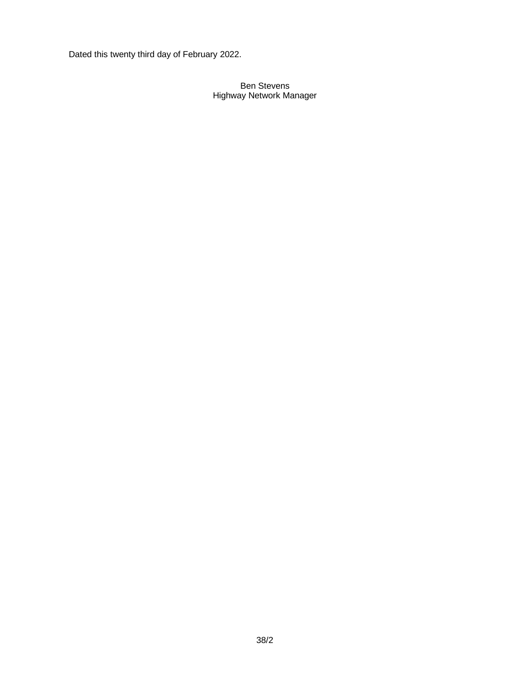Dated this twenty third day of February 2022.

## Ben Stevens Highway Network Manager